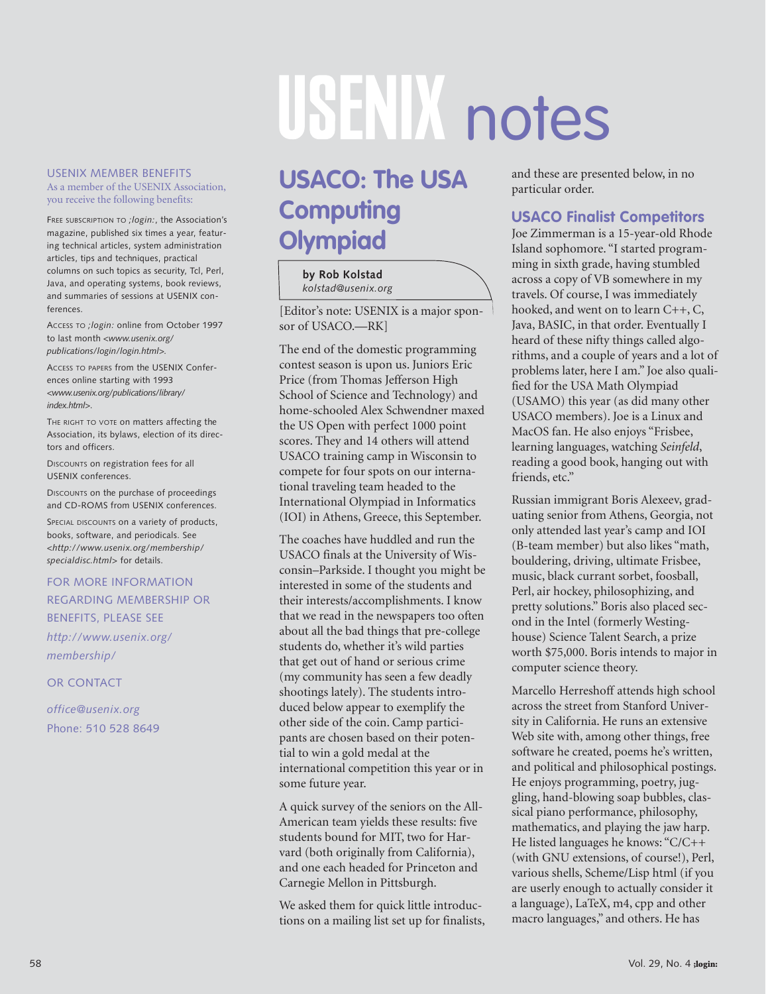# USEN Motes

#### USENIX MEMBER BENEFITS As a member of the USENIX Association, you receive the following benefits:

FREE SUBSCRIPTION TO *;login:*, the Association's magazine, published six times a year, featuring technical articles, system administration articles, tips and techniques, practical columns on such topics as security, Tcl, Perl, Java, and operating systems, book reviews, and summaries of sessions at USENIX conferences.

ACCESS TO *;login:* online from October 1997 to last month *<www.usenix.org/ publications/login/login.html>.*

ACCESS TO PAPERS from the USENIX Conferences online starting with 1993 *<www.usenix.org/publications/library/ index.html>*.

THE RIGHT TO VOTE **on matters affecting the** Association, its bylaws, election of its directors and officers.

DISCOUNTS on registration fees for all USENIX conferences.

DISCOUNTS on the purchase of proceedings and CD-ROMS from USENIX conferences.

SPECIAL DISCOUNTS on a variety of products, books, software, and periodicals. See *<http://www.usenix.org/membership/ specialdisc.html>* for details.

#### FOR MORE INFORMATION REGARDING MEMBERSHIP OR BENEFITS, PLEASE SEE

*http://www.usenix.org/ membership/*

OR CONTACT

*office@usenix.org* Phone: 510 528 8649

## **USACO: The USA Computing Olympiad**

### **by Rob Kolstad**

*kolstad@usenix.org*

[Editor's note: USENIX is a major sponsor of USACO.—RK]

The end of the domestic programming contest season is upon us. Juniors Eric Price (from Thomas Jefferson High School of Science and Technology) and home-schooled Alex Schwendner maxed the US Open with perfect 1000 point scores. They and 14 others will attend USACO training camp in Wisconsin to compete for four spots on our international traveling team headed to the International Olympiad in Informatics (IOI) in Athens, Greece, this September.

The coaches have huddled and run the USACO finals at the University of Wisconsin–Parkside. I thought you might be interested in some of the students and their interests/accomplishments. I know that we read in the newspapers too often about all the bad things that pre-college students do, whether it's wild parties that get out of hand or serious crime (my community has seen a few deadly shootings lately). The students introduced below appear to exemplify the other side of the coin. Camp participants are chosen based on their potential to win a gold medal at the international competition this year or in some future year.

A quick survey of the seniors on the All-American team yields these results: five students bound for MIT, two for Harvard (both originally from California), and one each headed for Princeton and Carnegie Mellon in Pittsburgh.

We asked them for quick little introductions on a mailing list set up for finalists, and these are presented below, in no particular order.

#### **USACO Finalist Competitors**

Joe Zimmerman is a 15-year-old Rhode Island sophomore. "I started programming in sixth grade, having stumbled across a copy of VB somewhere in my travels. Of course, I was immediately hooked, and went on to learn C++, C, Java, BASIC, in that order. Eventually I heard of these nifty things called algorithms, and a couple of years and a lot of problems later, here I am." Joe also qualified for the USA Math Olympiad (USAMO) this year (as did many other USACO members). Joe is a Linux and MacOS fan. He also enjoys "Frisbee, learning languages, watching *Seinfeld*, reading a good book, hanging out with friends, etc."

Russian immigrant Boris Alexeev, graduating senior from Athens, Georgia, not only attended last year's camp and IOI (B-team member) but also likes "math, bouldering, driving, ultimate Frisbee, music, black currant sorbet, foosball, Perl, air hockey, philosophizing, and pretty solutions." Boris also placed second in the Intel (formerly Westinghouse) Science Talent Search, a prize worth \$75,000. Boris intends to major in computer science theory.

Marcello Herreshoff attends high school across the street from Stanford University in California. He runs an extensive Web site with, among other things, free software he created, poems he's written, and political and philosophical postings. He enjoys programming, poetry, juggling, hand-blowing soap bubbles, classical piano performance, philosophy, mathematics, and playing the jaw harp. He listed languages he knows: "C/C++ (with GNU extensions, of course!), Perl, various shells, Scheme/Lisp html (if you are userly enough to actually consider it a language), LaTeX, m4, cpp and other macro languages," and others. He has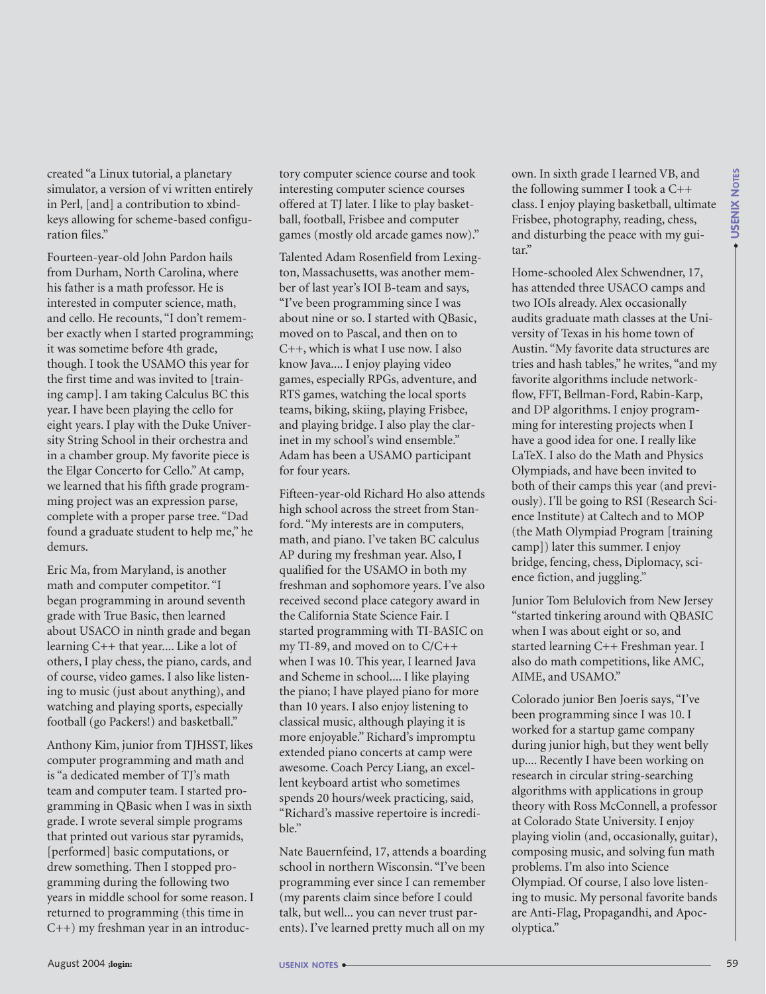created "a Linux tutorial, a planetary simulator, a version of vi written entirely in Perl, [and] a contribution to xbindkeys allowing for scheme-based configuration files."

Fourteen-year-old John Pardon hails from Durham, North Carolina, where his father is a math professor. He is interested in computer science, math, and cello. He recounts, "I don't remember exactly when I started programming; it was sometime before 4th grade, though. I took the USAMO this year for the first time and was invited to [training camp]. I am taking Calculus BC this year. I have been playing the cello for eight years. I play with the Duke University String School in their orchestra and in a chamber group. My favorite piece is the Elgar Concerto for Cello." At camp, we learned that his fifth grade programming project was an expression parse, complete with a proper parse tree. "Dad found a graduate student to help me," he demurs.

Eric Ma, from Maryland, is another math and computer competitor. "I began programming in around seventh grade with True Basic, then learned about USACO in ninth grade and began learning C++ that year.... Like a lot of others, I play chess, the piano, cards, and of course, video games. I also like listening to music (just about anything), and watching and playing sports, especially football (go Packers!) and basketball."

Anthony Kim, junior from TJHSST, likes computer programming and math and is "a dedicated member of TJ's math team and computer team. I started programming in QBasic when I was in sixth grade. I wrote several simple programs that printed out various star pyramids, [performed] basic computations, or drew something. Then I stopped programming during the following two years in middle school for some reason. I returned to programming (this time in C++) my freshman year in an introductory computer science course and took interesting computer science courses offered at TJ later. I like to play basketball, football, Frisbee and computer games (mostly old arcade games now)."

Talented Adam Rosenfield from Lexington, Massachusetts, was another member of last year's IOI B-team and says, "I've been programming since I was about nine or so. I started with QBasic, moved on to Pascal, and then on to C++, which is what I use now. I also know Java.... I enjoy playing video games, especially RPGs, adventure, and RTS games, watching the local sports teams, biking, skiing, playing Frisbee, and playing bridge. I also play the clarinet in my school's wind ensemble." Adam has been a USAMO participant for four years.

Fifteen-year-old Richard Ho also attends high school across the street from Stanford. "My interests are in computers, math, and piano. I've taken BC calculus AP during my freshman year. Also, I qualified for the USAMO in both my freshman and sophomore years. I've also received second place category award in the California State Science Fair. I started programming with TI-BASIC on my TI-89, and moved on to C/C++ when I was 10. This year, I learned Java and Scheme in school.... I like playing the piano; I have played piano for more than 10 years. I also enjoy listening to classical music, although playing it is more enjoyable." Richard's impromptu extended piano concerts at camp were awesome. Coach Percy Liang, an excellent keyboard artist who sometimes spends 20 hours/week practicing, said, "Richard's massive repertoire is incredible."

Nate Bauernfeind, 17, attends a boarding school in northern Wisconsin. "I've been programming ever since I can remember (my parents claim since before I could talk, but well... you can never trust parents). I've learned pretty much all on my

own. In sixth grade I learned VB, and the following summer I took a C++ class. I enjoy playing basketball, ultimate Frisbee, photography, reading, chess, and disturbing the peace with my guitar."

Home-schooled Alex Schwendner, 17, has attended three USACO camps and two IOIs already. Alex occasionally audits graduate math classes at the University of Texas in his home town of Austin. "My favorite data structures are tries and hash tables," he writes, "and my favorite algorithms include networkflow, FFT, Bellman-Ford, Rabin-Karp, and DP algorithms. I enjoy programming for interesting projects when I have a good idea for one. I really like LaTeX. I also do the Math and Physics Olympiads, and have been invited to both of their camps this year (and previously). I'll be going to RSI (Research Science Institute) at Caltech and to MOP (the Math Olympiad Program [training camp]) later this summer. I enjoy bridge, fencing, chess, Diplomacy, science fiction, and juggling."

Junior Tom Belulovich from New Jersey "started tinkering around with QBASIC when I was about eight or so, and started learning C++ Freshman year. I also do math competitions, like AMC, AIME, and USAMO."

Colorado junior Ben Joeris says, "I've been programming since I was 10. I worked for a startup game company during junior high, but they went belly up.... Recently I have been working on research in circular string-searching algorithms with applications in group theory with Ross McConnell, a professor at Colorado State University. I enjoy playing violin (and, occasionally, guitar), composing music, and solving fun math problems. I'm also into Science Olympiad. Of course, I also love listening to music. My personal favorite bands are Anti-Flag, Propagandhi, and Apocolyptica."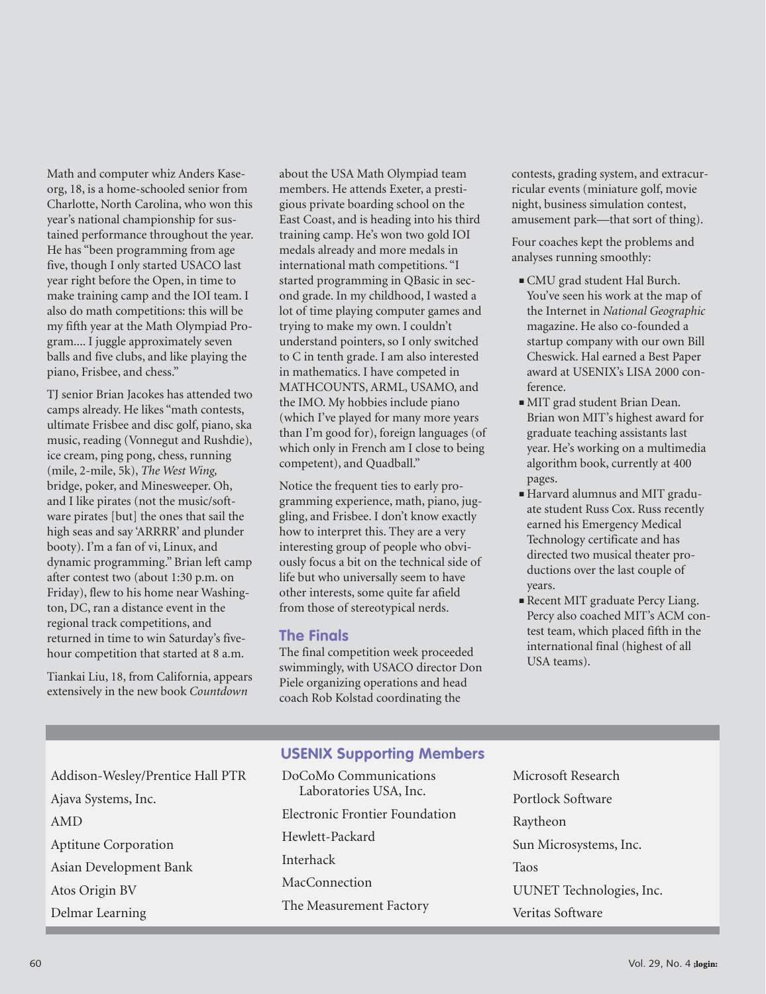Math and computer whiz Anders Kaseorg, 18, is a home-schooled senior from Charlotte, North Carolina, who won this year's national championship for sustained performance throughout the year. He has "been programming from age five, though I only started USACO last year right before the Open, in time to make training camp and the IOI team. I also do math competitions: this will be my fifth year at the Math Olympiad Program.... I juggle approximately seven balls and five clubs, and like playing the piano, Frisbee, and chess."

TJ senior Brian Jacokes has attended two camps already. He likes "math contests, ultimate Frisbee and disc golf, piano, ska music, reading (Vonnegut and Rushdie), ice cream, ping pong, chess, running (mile, 2-mile, 5k), *The West Wing,* bridge, poker, and Minesweeper. Oh, and I like pirates (not the music/software pirates [but] the ones that sail the high seas and say 'ARRRR' and plunder booty). I'm a fan of vi, Linux, and dynamic programming." Brian left camp after contest two (about 1:30 p.m. on Friday), flew to his home near Washington, DC, ran a distance event in the regional track competitions, and returned in time to win Saturday's fivehour competition that started at 8 a.m.

Tiankai Liu, 18, from California, appears extensively in the new book *Countdown*

about the USA Math Olympiad team members. He attends Exeter, a prestigious private boarding school on the East Coast, and is heading into his third training camp. He's won two gold IOI medals already and more medals in international math competitions. "I started programming in QBasic in second grade. In my childhood, I wasted a lot of time playing computer games and trying to make my own. I couldn't understand pointers, so I only switched to C in tenth grade. I am also interested in mathematics. I have competed in MATHCOUNTS, ARML, USAMO, and the IMO. My hobbies include piano (which I've played for many more years than I'm good for), foreign languages (of which only in French am I close to being competent), and Quadball."

Notice the frequent ties to early programming experience, math, piano, juggling, and Frisbee. I don't know exactly how to interpret this. They are a very interesting group of people who obviously focus a bit on the technical side of life but who universally seem to have other interests, some quite far afield from those of stereotypical nerds.

#### **The Finals**

The final competition week proceeded swimmingly, with USACO director Don Piele organizing operations and head coach Rob Kolstad coordinating the

contests, grading system, and extracurricular events (miniature golf, movie night, business simulation contest, amusement park—that sort of thing).

Four coaches kept the problems and analyses running smoothly:

- CMU grad student Hal Burch. You've seen his work at the map of the Internet in *National Geographic* magazine. He also co-founded a startup company with our own Bill Cheswick. Hal earned a Best Paper award at USENIX's LISA 2000 conference.
- MIT grad student Brian Dean. Brian won MIT's highest award for graduate teaching assistants last year. He's working on a multimedia algorithm book, currently at 400 pages.
- Harvard alumnus and MIT graduate student Russ Cox. Russ recently earned his Emergency Medical Technology certificate and has directed two musical theater productions over the last couple of years.
- Recent MIT graduate Percy Liang. Percy also coached MIT's ACM contest team, which placed fifth in the international final (highest of all USA teams).

#### **USENIX Supporting Members**

- Addison-Wesley/Prentice Hall PTR Ajava Systems, Inc. AMD Aptitune Corporation Asian Development Bank Atos Origin BV Delmar Learning
- DoCoMo Communications Laboratories USA, Inc. Electronic Frontier Foundation Hewlett-Packard Interhack MacConnection The Measurement Factory
- Microsoft Research Portlock Software Raytheon Sun Microsystems, Inc. Taos UUNET Technologies, Inc. Veritas Software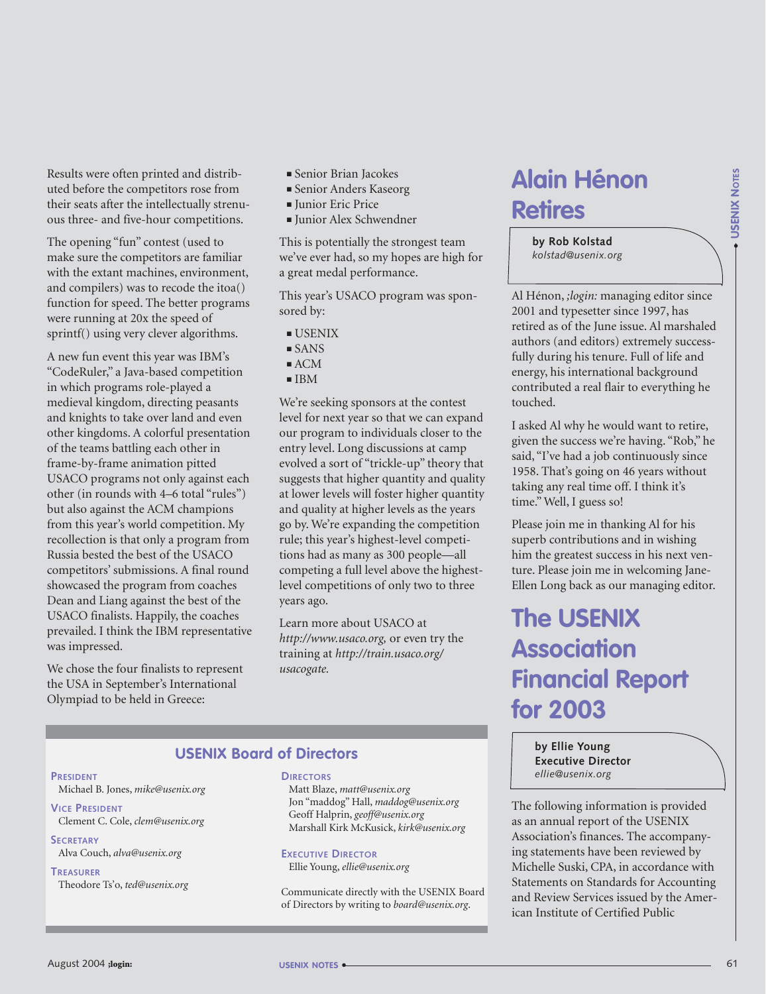Results were often printed and distributed before the competitors rose from their seats after the intellectually strenuous three- and five-hour competitions.

The opening "fun" contest (used to make sure the competitors are familiar with the extant machines, environment, and compilers) was to recode the itoa() function for speed. The better programs were running at 20x the speed of sprintf() using very clever algorithms.

A new fun event this year was IBM's "CodeRuler," a Java-based competition in which programs role-played a medieval kingdom, directing peasants and knights to take over land and even other kingdoms. A colorful presentation of the teams battling each other in frame-by-frame animation pitted USACO programs not only against each other (in rounds with 4–6 total "rules") but also against the ACM champions from this year's world competition. My recollection is that only a program from Russia bested the best of the USACO competitors' submissions. A final round showcased the program from coaches Dean and Liang against the best of the USACO finalists. Happily, the coaches prevailed. I think the IBM representative was impressed.

We chose the four finalists to represent the USA in September's International Olympiad to be held in Greece:

- Senior Brian Jacokes
- Senior Anders Kaseorg
- Junior Eric Price
- Junior Alex Schwendner

This is potentially the strongest team we've ever had, so my hopes are high for a great medal performance.

This year's USACO program was sponsored by:

- USENIX
- SANS
- ACM
- IBM

We're seeking sponsors at the contest level for next year so that we can expand our program to individuals closer to the entry level. Long discussions at camp evolved a sort of "trickle-up" theory that suggests that higher quantity and quality at lower levels will foster higher quantity and quality at higher levels as the years go by. We're expanding the competition rule; this year's highest-level competitions had as many as 300 people—all competing a full level above the highestlevel competitions of only two to three years ago.

Learn more about USACO at *http://www.usaco.org,* or even try the training at *http://train.usaco.org/ usacogate.*

## **Alain Hénon Retires**

**by Rob Kolstad** *kolstad@usenix.org*

Al Hénon, *;login:* managing editor since 2001 and typesetter since 1997, has retired as of the June issue. Al marshaled authors (and editors) extremely successfully during his tenure. Full of life and energy, his international background contributed a real flair to everything he touched.

I asked Al why he would want to retire, given the success we're having. "Rob," he said, "I've had a job continuously since 1958. That's going on 46 years without taking any real time off. I think it's time." Well, I guess so!

Please join me in thanking Al for his superb contributions and in wishing him the greatest success in his next venture. Please join me in welcoming Jane-Ellen Long back as our managing editor.

## **The USENIX Association Financial Report for 2003**

**by Ellie Young Executive Director** *ellie@usenix.org*

The following information is provided as an annual report of the USENIX Association's finances. The accompanying statements have been reviewed by Michelle Suski, CPA, in accordance with Statements on Standards for Accounting and Review Services issued by the American Institute of Certified Public

#### **USENIX Board of Directors**

#### **PRESIDENT**

Michael B. Jones, *mike@usenix.org*

**VICE PRESIDENT** Clement C. Cole, *clem@usenix.org*

#### **SECRETARY** Alva Couch, *alva@usenix.org*

#### **TREASURER**

Theodore Ts'o, *ted@usenix.org*

#### **DIRECTORS**

Matt Blaze, *matt@usenix.org* Jon "maddog" Hall, *maddog@usenix.org* Geoff Halprin, *geoff@usenix.org* Marshall Kirk McKusick, *kirk@usenix.org*

#### **EXECUTIVE DIRECTOR**

Ellie Young, *ellie@usenix.org*

Communicate directly with the USENIX Board of Directors by writing to *board@usenix.org*.

● **USENIX NOTES**

- USENIX Nores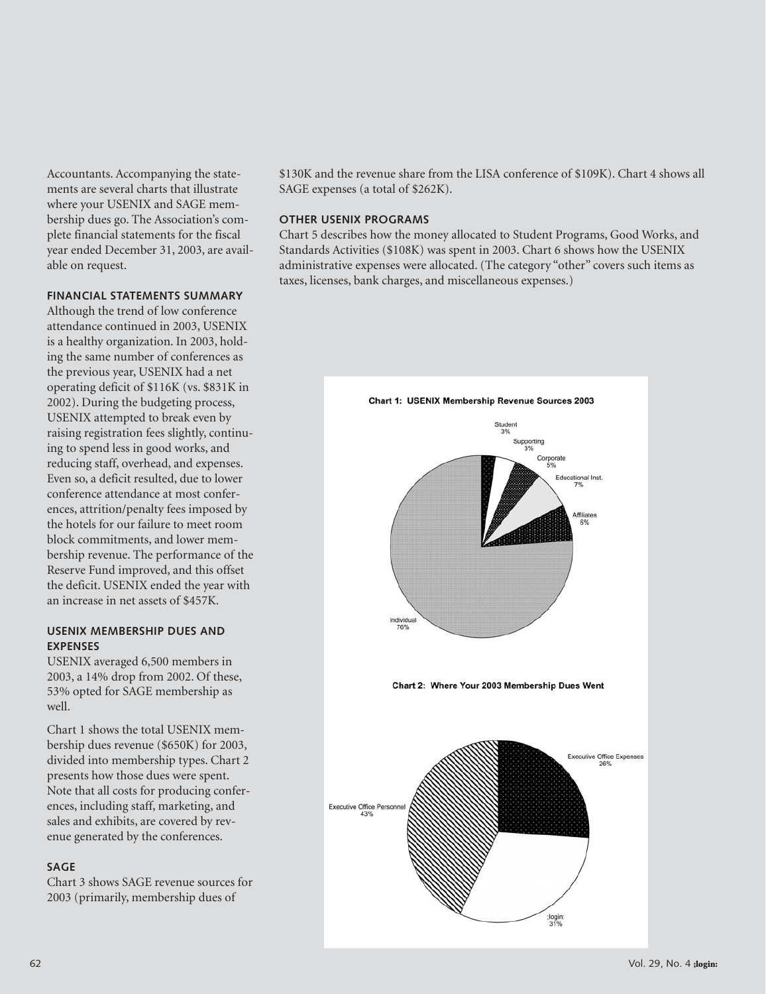Accountants. Accompanying the statements are several charts that illustrate where your USENIX and SAGE membership dues go. The Association's complete financial statements for the fiscal year ended December 31, 2003, are available on request.

#### **FINANCIAL STATEMENTS SUMMARY**

Although the trend of low conference attendance continued in 2003, USENIX is a healthy organization. In 2003, holding the same number of conferences as the previous year, USENIX had a net operating deficit of \$116K (vs. \$831K in 2002). During the budgeting process, USENIX attempted to break even by raising registration fees slightly, continuing to spend less in good works, and reducing staff, overhead, and expenses. Even so, a deficit resulted, due to lower conference attendance at most conferences, attrition/penalty fees imposed by the hotels for our failure to meet room block commitments, and lower membership revenue. The performance of the Reserve Fund improved, and this offset the deficit. USENIX ended the year with an increase in net assets of \$457K.

#### **USENIX MEMBERSHIP DUES AND EXPENSES**

USENIX averaged 6,500 members in 2003, a 14% drop from 2002. Of these, 53% opted for SAGE membership as well.

Chart 1 shows the total USENIX membership dues revenue (\$650K) for 2003, divided into membership types. Chart 2 presents how those dues were spent. Note that all costs for producing conferences, including staff, marketing, and sales and exhibits, are covered by revenue generated by the conferences.

#### **SAGE**

Chart 3 shows SAGE revenue sources for 2003 (primarily, membership dues of

\$130K and the revenue share from the LISA conference of \$109K). Chart 4 shows all SAGE expenses (a total of \$262K).

#### **OTHER USENIX PROGRAMS**

Chart 5 describes how the money allocated to Student Programs, Good Works, and Standards Activities (\$108K) was spent in 2003. Chart 6 shows how the USENIX administrative expenses were allocated. (The category "other" covers such items as taxes, licenses, bank charges, and miscellaneous expenses.)

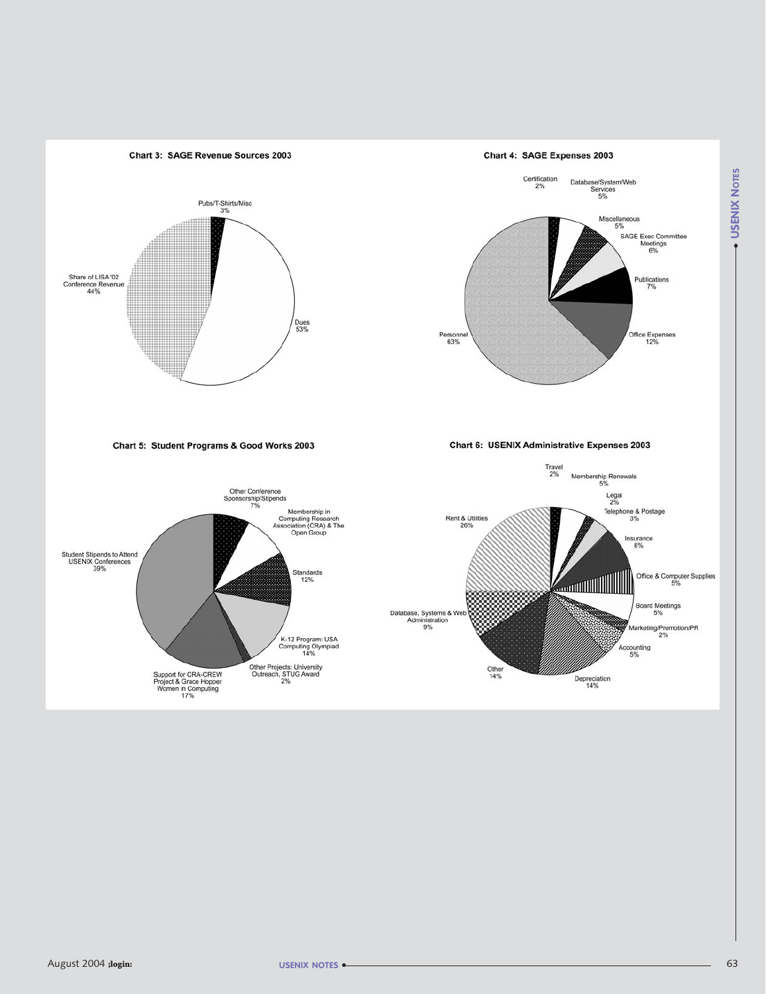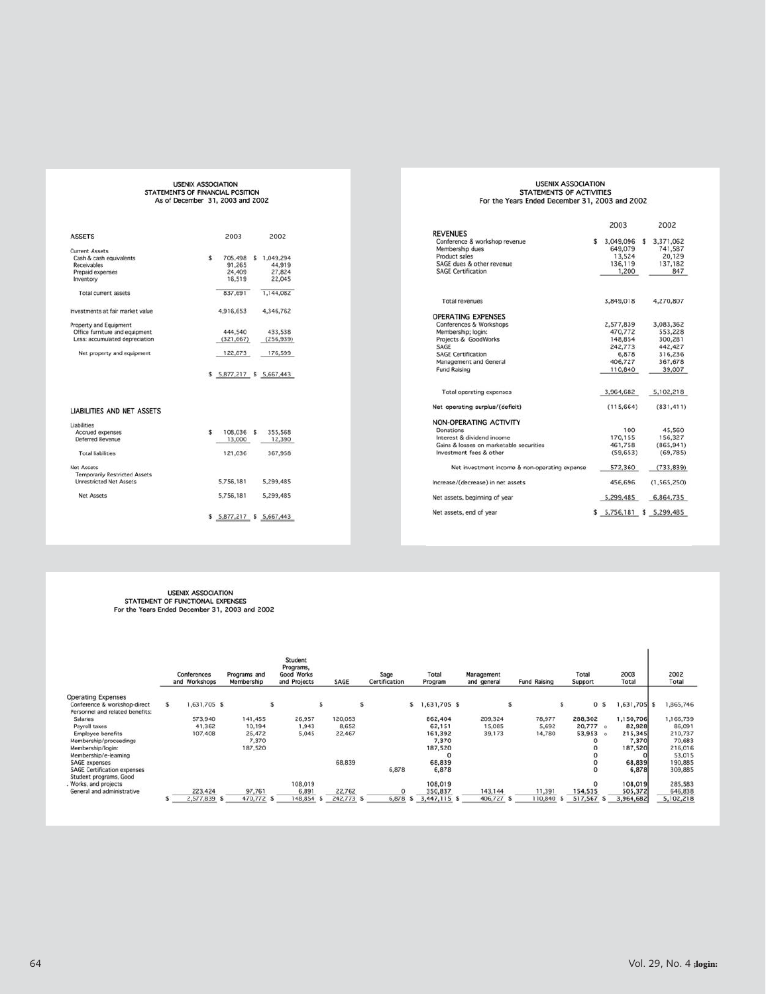## USENIX ASSOCIATION<br>STATEMENTS OF FINANCIAL POSITION<br>As of December 31, 2003 and 2002

| <b>ASSETS</b>                                       |    |                           |                   |
|-----------------------------------------------------|----|---------------------------|-------------------|
|                                                     |    | 2003                      | 2002              |
| <b>Current Assets</b>                               |    |                           |                   |
| Cash & cash equivalents                             | \$ | 705,498                   | \$1,049,294       |
| Receivables                                         |    | 91,265                    | 44,919            |
| Prepaid expenses                                    |    | 24,409                    | 27,824            |
| Inventory                                           |    | 16,519                    | 22,045            |
| <b>Total current assets</b>                         |    | 837,691                   | 1,144,082         |
| Investments at fair market value                    |    | 4,916,653                 | 4,346,762         |
| Property and Equipment                              |    |                           |                   |
| Office furniture and equipment                      |    | 444,540                   | 433,538           |
| Less: accumulated depreciation                      |    | (321, 667)                | (256.939)         |
| Net property and equipment                          |    | 122,873                   | 176,599           |
|                                                     |    |                           |                   |
|                                                     |    | $$5,877,217$ \$ 5,667,443 |                   |
|                                                     |    |                           |                   |
| <b>LIABILITIES AND NET ASSETS</b>                   |    |                           |                   |
|                                                     |    |                           |                   |
| Liabilities<br>Accrued expenses<br>Deferred Revenue | s. | 108,036 \$<br>13,000      | 355,568<br>12,390 |
| <b>Total liabilities</b>                            |    | 121,036                   | 367,958           |
| Net Assets                                          |    |                           |                   |
| <b>Temporarily Restricted Assets</b>                |    |                           |                   |
| <b>Unrestricted Net Assets</b>                      |    | 5,756,181                 | 5,299,485         |
| <b>Net Assets</b>                                   |    | 5,756,181                 | 5,299,485         |

## USENIX ASSOCIATION<br>STATEMENTS OF ACTIVITIES<br>For the Years Ended December 31, 2003 and 2002

|                                               | 2003                      | 2002            |
|-----------------------------------------------|---------------------------|-----------------|
| <b>REVENUES</b>                               |                           |                 |
| Conference & workshop revenue                 | \$<br>3,049,096           | \$<br>3,371,062 |
| Membership dues                               | 649,079                   | 741,587         |
| Product sales                                 | 13,524                    | 20.129          |
| SAGE dues & other revenue                     | 136,119                   | 137,182         |
| <b>SAGE Certification</b>                     | 1,200                     | 847             |
| <b>Total revenues</b>                         | 3.849.018                 | 4,270,807       |
| <b>OPERATING EXPENSES</b>                     |                           |                 |
| Conferences & Workshops                       | 2,577,839                 | 3.083.362       |
| Membership; login:                            | 470,772                   | 553,228         |
| Projects & GoodWorks                          | 148,854                   | 300,281         |
| SAGE                                          | 242,773                   | 442,427         |
| <b>SAGE Certification</b>                     | 6,878                     | 316,236         |
| Management and General                        | 406,727                   | 367,678         |
| Fund Raising                                  | 110.840                   | 39.007          |
| Total operating expenses                      | 3,964,682                 | 5,102,218       |
| Net operating surplus/(deficit)               | (115, 664)                | (831, 411)      |
| NON-OPERATING ACTIVITY                        |                           |                 |
| Donations                                     | 100                       | 45,560          |
| Interest & dividend income                    | 170,155                   | 156,327         |
| Gains & losses on marketable securities       | 461,758                   | (865, 941)      |
| Investment fees & other                       | (59, 653)                 | (69, 785)       |
| Net investment income & non-operating expense | 572,360                   | (733, 839)      |
| Increase/(decrease) in net assets             | 456,696                   | (1,565,250)     |
| Net assets, beginning of year                 | 5,299,485                 | 6,864,735       |
| Net assets, end of year                       | \$ 5,756,181 \$ 5,299,485 |                 |

## USENIX ASSOCIATION<br>STATEMENT OF FUNCTIONAL EXPENSES<br>For the Years Ended December 31, 2003 and 2002

|                                                                 |    | Conferences<br>and Workshops | Programs and<br>Membership | Student<br>Programs,<br><b>Good Works</b><br>and Projects | SAGE       |    | Sage<br>Certification | Total<br>Program | Management<br>and general |   | Fund Raising | Total<br>Support     | 2003<br>Total  | 2002<br>Total |
|-----------------------------------------------------------------|----|------------------------------|----------------------------|-----------------------------------------------------------|------------|----|-----------------------|------------------|---------------------------|---|--------------|----------------------|----------------|---------------|
| <b>Operating Expenses</b>                                       |    |                              |                            |                                                           |            |    |                       |                  |                           |   |              |                      |                |               |
| Conference & workshop-direct<br>Personnel and related benefits: | s. | .631,705 \$                  |                            |                                                           |            | Ŝ. | s.                    | ,631,705 \$      |                           | Ś |              | \$<br>$\circ$<br>- 5 | $1,631,705$ \$ | 1,865,746     |
| <b>Salaries</b>                                                 |    | 573,940                      | 141,455                    | 26,957                                                    | 120,053    |    |                       | 862,404          | 209,324                   |   | 78,977       | 288,302              | 1,150,706      | 1,166,739     |
| Payroll taxes                                                   |    | 41,362                       | 10,194                     | 1,943                                                     | 8,652      |    |                       | 62,151           | 15,085                    |   | 5,692        | 20,777 0             | 82,928         | 86,091        |
| <b>Employee benefits</b>                                        |    | 107,408                      | 26,472                     | 5,045                                                     | 22,467     |    |                       | 161,392          | 39,173                    |   | 14,780       | 53,953 0             | 215,345        | 210,737       |
| Membership/proceedings                                          |    |                              | 7,370                      |                                                           |            |    |                       | 7,370            |                           |   |              | o                    | 7,370          | 70,683        |
| Membership/login:                                               |    |                              | 187,520                    |                                                           |            |    |                       | 187,520          |                           |   |              |                      | 187,520        | 216,016       |
| Membership/e-learning                                           |    |                              |                            |                                                           |            |    |                       | o                |                           |   |              | o                    |                | 53,015        |
| SAGE expenses                                                   |    |                              |                            |                                                           | 68,839     |    |                       | 68,839           |                           |   |              |                      | 68,839         | 190,885       |
| <b>SAGE Certification expenses</b><br>Student programs, Good    |    |                              |                            |                                                           |            |    | 6,878                 | 6,878            |                           |   |              | o                    | 6,878          | 309,885       |
| Works, and projects                                             |    |                              |                            | 108,019                                                   |            |    |                       | 108,019          |                           |   |              | $\circ$              | 108,019        | 285,583       |
| General and administrative                                      |    | 223,424                      | 97,761                     | 6,891                                                     | 22,762     |    |                       | 350,837          | 143,144                   |   | 11,391       | 154,535              | 505,372        | 646,838       |
|                                                                 |    | 2,577,839 \$                 | 470,772 \$                 | 148,854                                                   | 242,773 \$ |    | 6,878<br>s            | 3,447,115 \$     | 406,727 \$                |   | 110,840      | 517,567 \$           | 3,964,682      | 5,102,218     |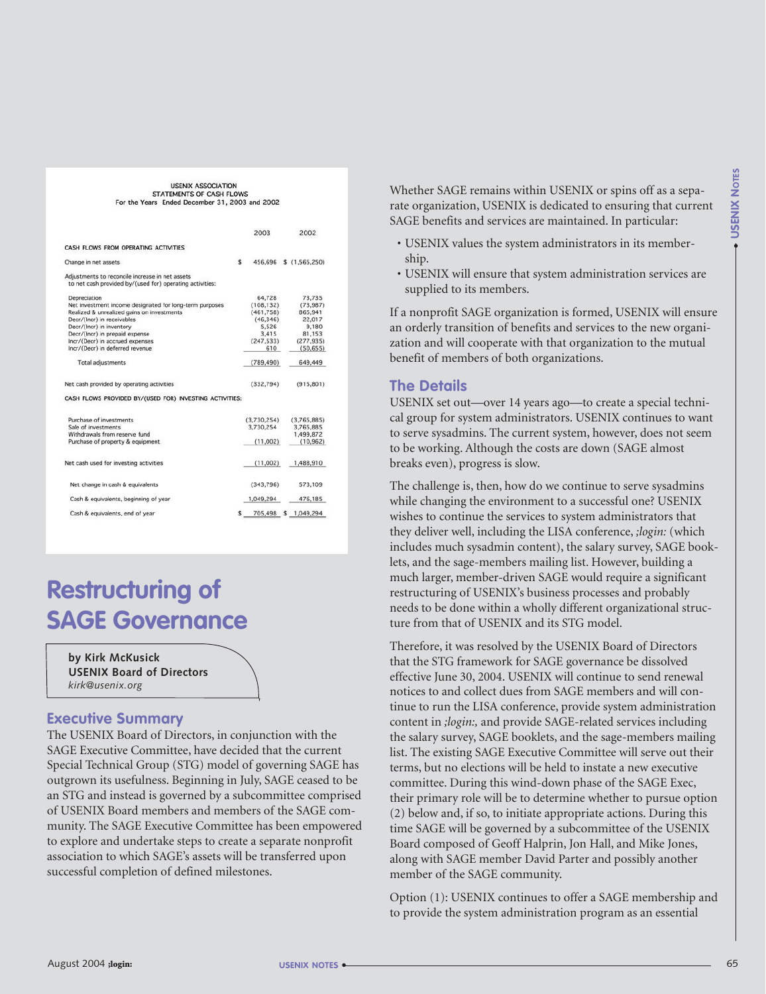| <b>USENIX ASSOCIATION</b><br>STATEMENTS OF CASH FLOWS<br>For the Years Ended December 31, 2003 and 2002                                                                                                                                                                                                                                                                                                                                                                                                                                                                                                                                                                                                                                                                                                                            | <b>NOTES</b><br>Whether SAGE remains within USENIX or spins off as a sepa-<br><b>USENIX</b><br>rate organization, USENIX is dedicated to ensuring that current<br>SAGE benefits and services are maintained. In particular:                                                                                                                                                                                                                                                                                                                                                                                                                                                                                                                                                                                                                                                                                                                                                                                                           |
|------------------------------------------------------------------------------------------------------------------------------------------------------------------------------------------------------------------------------------------------------------------------------------------------------------------------------------------------------------------------------------------------------------------------------------------------------------------------------------------------------------------------------------------------------------------------------------------------------------------------------------------------------------------------------------------------------------------------------------------------------------------------------------------------------------------------------------|---------------------------------------------------------------------------------------------------------------------------------------------------------------------------------------------------------------------------------------------------------------------------------------------------------------------------------------------------------------------------------------------------------------------------------------------------------------------------------------------------------------------------------------------------------------------------------------------------------------------------------------------------------------------------------------------------------------------------------------------------------------------------------------------------------------------------------------------------------------------------------------------------------------------------------------------------------------------------------------------------------------------------------------|
| 2003<br>2002<br>CASH FLOWS FROM OPERATING ACTIVITIES<br>456,696 \$ (1,565,250)<br>Change in net assets<br>Adjustments to reconcile increase in net assets<br>to net cash provided by/(used for) operating activities:<br>64,728<br>73,735<br>Depreciation<br>(73, 987)<br>(108, 132)<br>Net investment income designated for long-term purposes<br>(461, 758)<br>865,941<br>Realized & unrealized gains on investments<br>Decr/(Incr) in receivables<br>(46, 346)<br>22,017<br>9,180<br>Decr/(Incr) in inventory<br>5,526<br>Decr/(Incr) in prepaid expense<br>3,415<br>81,153<br>(247, 533)<br>(277, 935)<br>Incr/(Decr) in accrued expenses<br>Incr/(Decr) in deferred revenue<br>610<br>(50, 655)<br><b>Total adjustments</b><br>(789, 490)<br>649,449<br>(332, 794)<br>(915, 801)<br>Net cash provided by operating activities | • USENIX values the system administrators in its member-<br>ship.<br>• USENIX will ensure that system administration services are<br>supplied to its members.<br>If a nonprofit SAGE organization is formed, USENIX will ensure<br>an orderly transition of benefits and services to the new organi-<br>zation and will cooperate with that organization to the mutual<br>benefit of members of both organizations.<br><b>The Details</b>                                                                                                                                                                                                                                                                                                                                                                                                                                                                                                                                                                                             |
| CASH FLOWS PROVIDED BY/(USED FOR) INVESTING ACTIVITIES:<br>Purchase of investments<br>(3,730,254)<br>(3,765,885)<br>3,765,885<br>Sale of investments<br>3,730,254<br>1,499,872<br>Withdrawals from reserve fund<br>(11,002)<br>Purchase of property & equipment<br>(10, 962)<br>(11,002)<br>1,488,910<br>Net cash used for investing activities                                                                                                                                                                                                                                                                                                                                                                                                                                                                                    | USENIX set out-over 14 years ago-to create a special techni-<br>cal group for system administrators. USENIX continues to want<br>to serve sysadmins. The current system, however, does not seem<br>to be working. Although the costs are down (SAGE almost<br>breaks even), progress is slow.                                                                                                                                                                                                                                                                                                                                                                                                                                                                                                                                                                                                                                                                                                                                         |
| 573,109<br>Net change in cash & equivalents<br>(343,796)<br>Cash & equivalents, beginning of year<br>1,049,294<br>476,185<br>Cash & equivalents, end of year<br>705,498 \$ 1,049,294<br><b>Restructuring of</b><br><b>SAGE Governance</b>                                                                                                                                                                                                                                                                                                                                                                                                                                                                                                                                                                                          | The challenge is, then, how do we continue to serve sysadmins<br>while changing the environment to a successful one? USENIX<br>wishes to continue the services to system administrators that<br>they deliver well, including the LISA conference, ; login: (which<br>includes much sysadmin content), the salary survey, SAGE book-<br>lets, and the sage-members mailing list. However, building a<br>much larger, member-driven SAGE would require a significant<br>restructuring of USENIX's business processes and probably<br>needs to be done within a wholly different organizational struc-<br>ture from that of USENIX and its STG model.                                                                                                                                                                                                                                                                                                                                                                                    |
| by Kirk McKusick<br><b>USENIX Board of Directors</b><br>kirk@usenix.org<br><b>Executive Summary</b><br>The USENIX Board of Directors, in conjunction with the<br>SAGE Executive Committee, have decided that the current<br>Special Technical Group (STG) model of governing SAGE has<br>outgrown its usefulness. Beginning in July, SAGE ceased to be<br>an STG and instead is governed by a subcommittee comprised<br>of USENIX Board members and members of the SAGE com-<br>munity. The SAGE Executive Committee has been empowered<br>to explore and undertake steps to create a separate nonprofit<br>association to which SAGE's assets will be transferred upon<br>successful completion of defined milestones.                                                                                                            | Therefore, it was resolved by the USENIX Board of Directors<br>that the STG framework for SAGE governance be dissolved<br>effective June 30, 2004. USENIX will continue to send renewal<br>notices to and collect dues from SAGE members and will con-<br>tinue to run the LISA conference, provide system administration<br>content in ; login:, and provide SAGE-related services including<br>the salary survey, SAGE booklets, and the sage-members mailing<br>list. The existing SAGE Executive Committee will serve out their<br>terms, but no elections will be held to instate a new executive<br>committee. During this wind-down phase of the SAGE Exec,<br>their primary role will be to determine whether to pursue option<br>(2) below and, if so, to initiate appropriate actions. During this<br>time SAGE will be governed by a subcommittee of the USENIX<br>Board composed of Geoff Halprin, Jon Hall, and Mike Jones,<br>along with SAGE member David Parter and possibly another<br>member of the SAGE community. |
|                                                                                                                                                                                                                                                                                                                                                                                                                                                                                                                                                                                                                                                                                                                                                                                                                                    | Option (1): USENIX continues to offer a SAGE membership and<br>to provide the system administration program as an essential                                                                                                                                                                                                                                                                                                                                                                                                                                                                                                                                                                                                                                                                                                                                                                                                                                                                                                           |
| August 2004 ;login:<br>USENIX NOTES •                                                                                                                                                                                                                                                                                                                                                                                                                                                                                                                                                                                                                                                                                                                                                                                              | 65                                                                                                                                                                                                                                                                                                                                                                                                                                                                                                                                                                                                                                                                                                                                                                                                                                                                                                                                                                                                                                    |

## **Restructuring of SAGE Governance**

#### **Executive Summary**

- USENIX values the system administrators in its membership.
- USENIX will ensure that system administration services are supplied to its members.

#### **The Details**